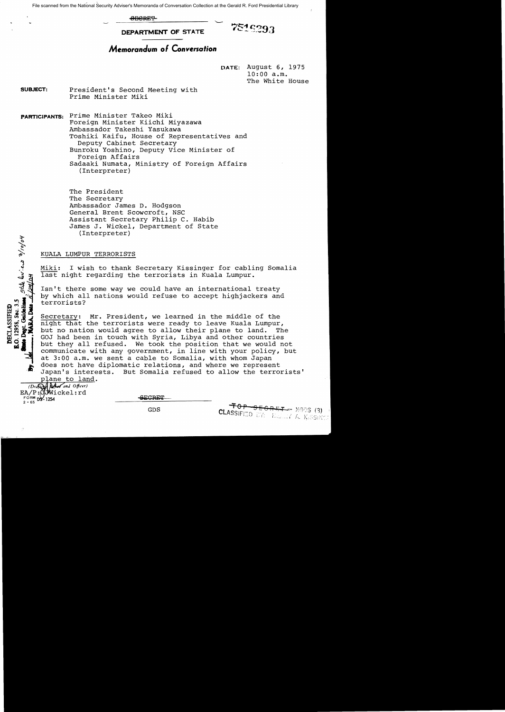File scanned from the National Security Adviser's Memoranda of Conversation Collection at the Gerald R. Ford Presidential Library

**OBCRET** 

# 7516293

# **MemoranJum 01** *Conversation*

**DEPARTMENT** OF STATE

DATE: August 6, 1975 10:00 a.m. The White House

CLASSIFIED DY: **ENGLEY** 

**SUBJECT:** President's Second Meeting with Prime Minister Miki

**PARTICIPANTS:** Prime Minister Takeo Miki Foreign Minister Kiichi Miyazawa Ambassador Takeshi Yasukawa Toshiki Kaifu, House of Representatives and Deputy Cabinet Secretary Bunroku Yoshino, Deputy Vice Minister of Foreign Affairs Sadaaki Numata, Ministry of Foreign Affairs (Interpreter)

> The President The Secretary Ambassador James D. Hodgson General Brent Scowcroft, NSC Assistant Secretary Philip C. Habib James J. Wickel, Department of State (Interpreter)

## KUALA LUMPUR TERRORISTS

Miki: I wish to thank Secretary Kissinger for cabling Somalia last night regarding the terrorists in Kuala Lumpur.

Isn't there some way we could have an international treaty by which all nations would refuse to accept highjackers and terrorists?

Secretary: Mr. President, we learned in the middle of the night that the terrorists were ready to leave Kuala Lumpur,<br>but no nation would agree to allow their plane to land. The but no nation would agree to allow their plane to land. GOJ had been in touch with Syria, Libya and other countries but they all refused. We took the position that we would not communicate with any government, in line with your policy, but at 3:00 a.m. we sent a cable to Somalia, with whom Japan does not have diplomatic relations, and where we represent Japan's interests. But Somalia refused to allow the terrorists' plane to land.

*(Drafting Defined and Officer)*<br>EA/P: JUWickel:rd  $F^{ORM}_{2.65}$  DS-1254

 $0.12958,$  Sec. 3.5<br>the Dept. Gaidelines  $5$  fite  $\mu$ v. e s  $3/\sqrt{\rho}/\rho$ 

DECLASSIFIED

SECRET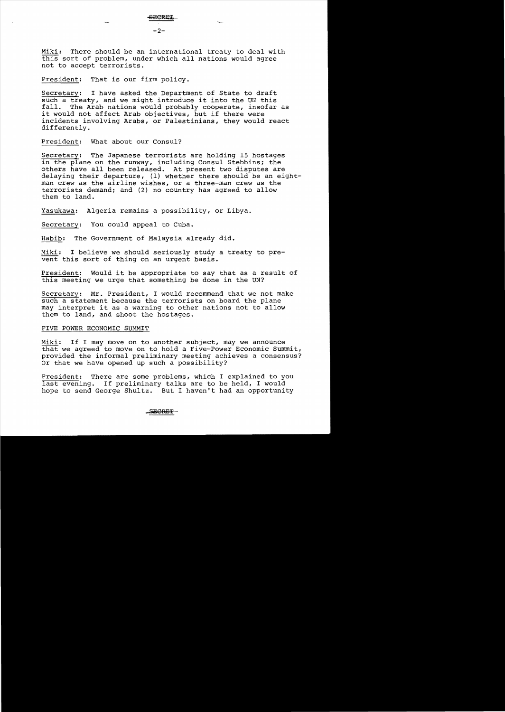Miki: There should be an international treaty to deal with this sort of problem, under which all nations would agree not to accept terrorists.

President: That is our firm policy.

secretary: I have asked the Department of State to draft such a treaty, and we might introduce it into the UN this fall. The Arab nations would probably cooperate, insofar The Arab nations would probably cooperate, insofar as it would not affect Arab objectives, but if there were incidents involving Arabs, or Palestinians, they would react differently.

President: What about our Consul?

Secretary: The Japanese terrorists are holding 15 hostages in the plane on the runway, including Consul Stebbins; the others have all been released. At present two disputes are delaying their departure, (1) whether there should be an eightman crew as the airline wishes, or a three-man crew as the terrorists demand; and (2) no country has agreed to allow them to land.

Yasukawa: Algeria remains a possibility, or Libya.

Secretary: You could appeal to Cuba.

Habib: The Government of Malaysia already did.

Miki: I believe we should seriously study a treaty to prevent this sort of thing on an urgent basis.

President: Would it be appropriate to say that as a result of this meeting we urge that something be done in the UN?

Secretary: Mr. President, I would recommend that we not make such a statement because the terrorists on board the plane may interpret it as a warning to other nations not to allow them to land, and shoot the hostages.

FIVE POWER ECONOMIC SUMMIT

Miki: If I may move on to another subject, may we announce that we agreed to move on to hold a Five-Power Economic Summit, provided the informal preliminary meeting achieves a consensus? Or that we have opened up such a possibility?

President: There are some problems, which I explained to you last evening. If preliminary talks are to be held, I would hope to send George Shultz. But I haven't had an opportunity

SECRET  $-2-$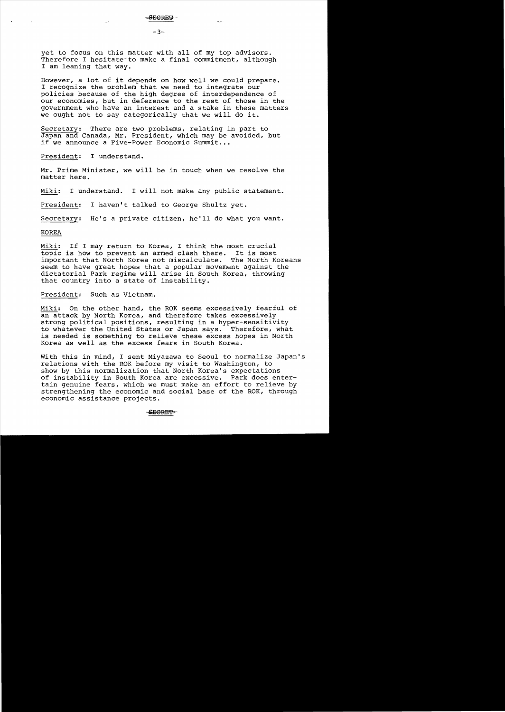yet to focus on this matter with all of my top advisors. Therefore I hesitate to make a final commitment, although I am leaning that way.

However, a lot of it depends on how well we could prepare. I recognize the problem that we need to integrate our policies because of the high degree of interdependence of our economies, but in deference to the rest of those in the government who have an interest and a stake in these matters we ought not to say categorically that we will do it.

Secretary: There are two problems, relating in part to Japan and Canada, Mr. President, which may be avoided, but if we announce a Five-Power Economic Summit...

President: I understand.

Mr. Prime Minister, we will be in touch when we resolve the matter here.

Miki: I understand. I will not make any public statement.

President: I haven't talked to George Shultz yet.

Secretary: He's a private citizen, he'll do what you want.

KOREA

Miki: If I may return to Korea, I think the most crucial topic is how to prevent an armed clash there. It is most important that North Korea not miscalculate. The North Koreans seem to have great hopes that a popular movement against the dictatorial Park regime will arise in South Korea, throwing that country into a state of instability.

President: Such as Vietnam.

Miki: On the other hand, the ROK seems excessively fearful of an attack by North Korea, and therefore takes excessively strong political positions, resulting in a hyper-sensitivity to whatever the United States or Japan says. Therefore, what is needed is something to relieve these excess hopes in North Korea as well as the excess fears in South Korea.

With this in mind, I sent Miyazawa to Seoul to normalize Japan's relations with the ROK before my visit to Washington, to show by this normalization that North Korea's expectations of instability in South Korea are excessive. Park does entertain genuine fears, which we must make an effort to relieve by strengthening the economic and social base of the ROK, through economic assistance projects.

#### SBCRET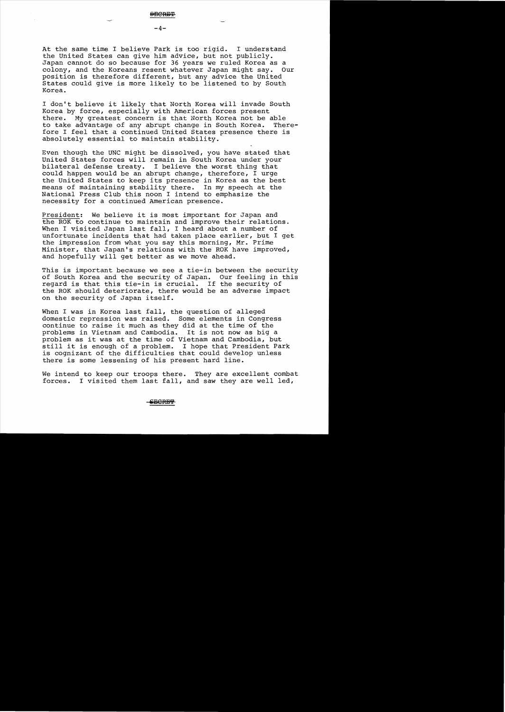At the same time I believe Park is too rigid. I understand the United States can give him advice, but not publicly. Japan cannot do so because for 36 years we ruled Korea as a colony, and the Koreans resent whatever Japan might say. Our

position is therefore different, but any advice the United States could give is more likely to be listened to by South

Korea.

I don't believe it likely that North Korea will invade South Korea by force, especially with American forces present there. My greatest concern is that North Korea not be able<br>to take advantage of any abrupt change in South Korea. Thereto take advantage of any abrupt change in South Korea. fore I feel that a continued United States presence there is absolutely essential to maintain stability.

Even though the UNC might be dissolved, you have stated that United States forces will remain in South Korea under your bilateral defense treaty. I believe the worst thing that could happen would be an abrupt change, therefore, I urge the United States to keep its presence in Korea as the best means of maintaining stability there. In my speech at the National Press Club this noon I intend to emphasize the necessity for a continued American presence.

President: We believe it is most important for Japan and the ROK to continue to maintain and improve their relations. When I visited Japan last fall, I heard about a number of unfortunate incidents that had taken place earlier, but I get the impression from what you say this morning, Mr. Prime Minister, that Japan's relations with the ROK have improved, and hopefully will get better as we move ahead.

This is important because we see a tie-in between the security of South Korea and the security of Japan. Our feeling in this regard is that this tie-in is crucial. If the security of the ROK should deteriorate, there would be an adverse impact on the security of Japan itself.

When I was in Korea last fall, the question of alleged domestic repression was raised. Some elements in Congress continue to raise it much as they did at the time of the problems in Vietnam and Cambodia. It is not now as big a problem as it was at the time of Vietnam and Cambodia, but still it is enough of a problem. I hope that President Park is cognizant of the difficulties that could develop unless there is some lessening of his present hard line.

We intend to keep our troops there. They are excellent combat forces. I visited them last fall, and saw they are well led,

**-4**

### SE<del>CRET</del>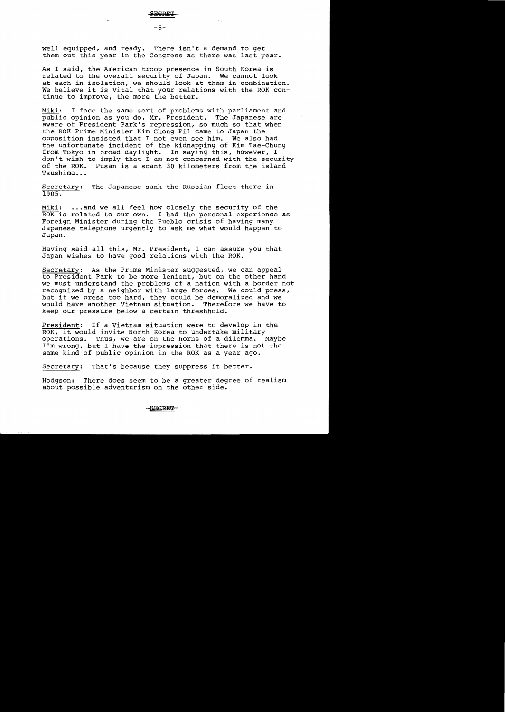well equipped, and ready. There isn't a demand to get them out this year in the Congress as there was last year.

As I said, the American troop presence in South Korea is related to the overall security of Japan. We cannot look at each in isolation, we should look at them in combination. We believe it is vital that your relations with the ROK continue to improve, the more the better.

Miki: I face the same sort of problems with parliament and public opinion as you do, Mr. President. The Japanese are aware of President Park's repression, so much so that when the ROK Prime Minister Kim Chong Pil came to Japan the opposition insisted that I not even see him. We also had the unfortunate incident of the kidnapping of Kim Tae-Chung from Tokyo in broad daylight. In saying this, however, I don't wish to imply that I am not concerned with the security of the ROK. Pusan is a scant 30 kilometers from the island Tsushima...

Secretary: The Japanese sank the RUssian fleet there in 1905.

Miki: ... and we all feel how closely the security of the ROK is related to our own. I had the personal experience as Foreign Minister during the Pueblo crisis of having many Japanese telephone urgently to ask me what would happen to Japan.

Having said all this, Mr. President, I can assure you that Japan wishes to have good relations with the ROK.

Secretary: As the Prime Minister suggested, we can appeal to President Park to be more lenient, but on the other hand we must understand the problems of a nation with a border not recognized by a neighbor with large forces. We could press, but if we press too hard, they could be demoralized and we would have another Vietnam situation. Therefore we have to would have another Vietnam situation. keep our pressure below a certain threshhold.

President: If a Vietnam situation were to develop in the ROK, it would invite North Korea to undertake military<br>operations. Thus, we are on the horns of a dilemma. Maybe operations. Thus, we are on the horns of a dilemma. I'm wrong, but I have the impression that there is not the same kind of public opinion in the ROK as a year ago.

Secretary: That's because they suppress it better.

Hodgson: There does seem to be a greater degree of realism about possible adventurism on the other side.

-SECRET-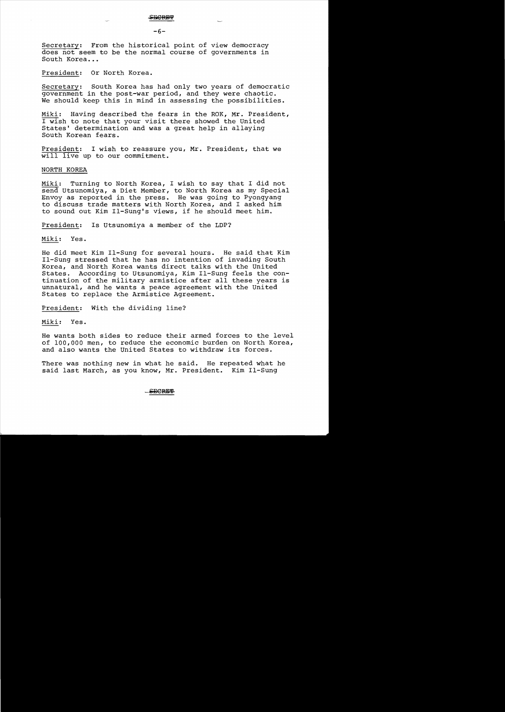

 $-6-$ 

secretary: From the historical point of view democracy does not seem to be the normal course of governments in South Korea...

President: Or North Korea.

Secretary: South Korea has had only two years of democratic government in the post-war period, and they were chaotic. We should keep this in mind in assessing the possibilities.

I wish to note that your visit there showed the United Miki: Having described the fears in the ROK, Mr. President, States' determination and was a great help in allaying South Korean fears.

President: I wish to reassure you, Mr. President, that we will live up to our commitment.

#### NORTH KOREA

Miki: Turning to North Korea, I wish to say that I did not send utsunomiya, a Diet Member, to North Korea as my Special Envoy as reported in the press. He was going to Pyongyang to discuss trade matters with North Korea, and I asked him to sound out Kim I1-Sung's views, if he should meet him.

President: Is Utsunomiya a member of the LDP?

Miki: Yes.

He did meet Kim I1-Sung for several hours. He said that Kim I1-Sung stressed that he has no intention of invading South Korea, and North Korea wants direct talks with the United States. According to Utsunomiya, Kim I1-Sung feels the continuation of the military armistice after all these years is unnatural, and he wants a peace agreement with the United States to replace the Armistice Agreement.

President: With the dividing line?

Miki: Yes.

He wants both sides to reduce their armed forces to the level of 100,000 men, to reduce the economic burden on North Korea, and also wants the United States to withdraw its forces.

There was nothing new in what he said. He repeated what he said last March, as you know, Mr. President. Kim I1-Sung

#### <del>SECRET</del>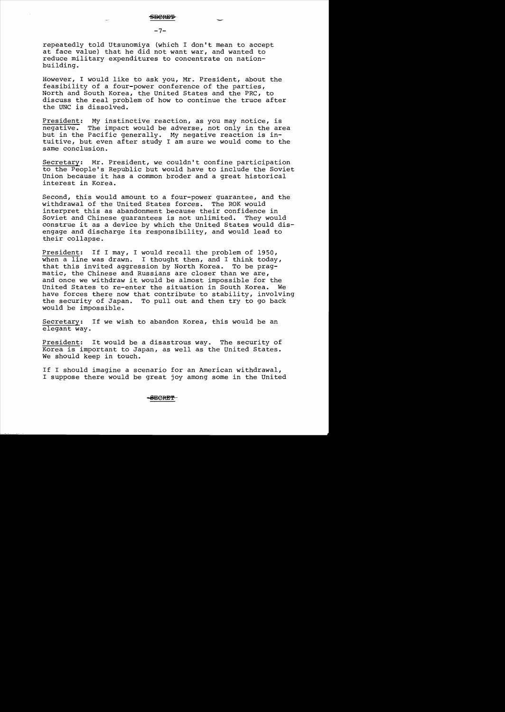$-7-$ 

repeatedly told Utsunomiya (which I don't mean to accept at face value) that he did not want war, and wanted to reduce military expenditures to concentrate on nation building.

However, I would like to ask you, Mr. President, about the feasibility of a four-power conference of the parties, North and South Korea, the United States and the PRC, to discuss the real problem of how to continue the truce after the UNC is dissolved.

President: My instinctive reaction, as you may notice, is negative. The impact would be adverse, not only in the area but in the Pacific generally. My negative reaction is intuitive, but even after study I am sure we would come to the same conclusion.

Secretary: Mr. President, we couldn't confine participation to the People's Republic but would have to include the Soviet Union because it has a common broder and a great historical interest in Korea.

Second, this would amount to a four-power guarantee, and the withdrawal of the United States forces. The ROK would interpret this as abandonment because their confidence in Soviet and Chinese guarantees is not unlimited. They would soviet and Chinese guarantees is not unlimited. They would<br>construe it as a device by which the United States would disengage and discharge its responsibility, and would lead to their collapse.

President: If I may, I would recall the problem of 1950, when a line was drawn. I thought then, and I think today, that this invited aggression by North Korea. To be pragmatic, the Chinese and Russians are closer than we are, and once we withdraw it would be almost impossible for the United States to re-enter the situation in South Korea. We United States to re-enter the situation in South Korea. have forces there now that contribute to stability, involving the security of Japan. To pull out and then try to go back would be impossible.

Secretary: If we wish to abandon Korea, this would be an elegant way.

President: It would be a disastrous way. The security of Korea is important to Japan, as well as the United States. We should keep in touch.

If I should imagine a scenario for an American withdrawal, I suppose there would be great joy among some in the United

#### **CECRET**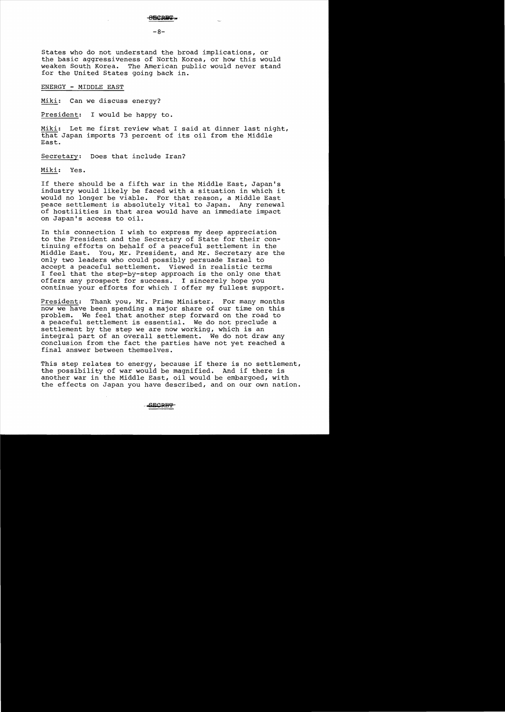$-8-$ 

States who do not understand the broad implications, or the basic aggressiveness of North Korea, or how this would weaken South Korea. The American public would never stand for the United States going back in.

ENERGY - MIDDLE EAST

Miki: Can we discuss energy?

President: I would be happy to.

Miki: Let me first review what I said at dinner last night, that Japan imports 73 percent of its oil from the Middle East.

Secretary: Does that include Iran?

Miki: Yes.

If there should be a fifth war in the Middle East, Japan's industry would likely be faced with a situation in which it For that reason, a Middle East peace settlement is absolutely vital to Japan. Any renewal of hostilities in that area would have an immediate impact on Japan's access to oil.

In this connection I wish to express my deep appreciation to the President and the Secretary of State for their continuing efforts on behalf of a peaceful settlement in the Middle East. You, Mr. President, and Mr. Secretary are the only two leaders who could possibly persuade Israel to accept a peaceful settlement. Viewed in realistic terms I feel that the step-by-step approach is the only one that offers any prospect for success. I sincerely hope you continue your efforts for which I offer my fullest support.

President: Thank you, Mr. Prime Minister. For many months now we have been spending a major share of our time on this problem. We feel that another step forward on the road to a peaceful settlement is essential. We do not preclude a settlement by the step we are now working, which is an integral part of an overall settlement. We do not draw any conclusion from the fact the parties have not yet reached a final answer between themselves.

This step relates to energy, because if there is no settlement, the possibility of war would be magnified. And if there is another war in the Middle East, oil would be embargoed, with the effects on Japan you have described, and on our own nation.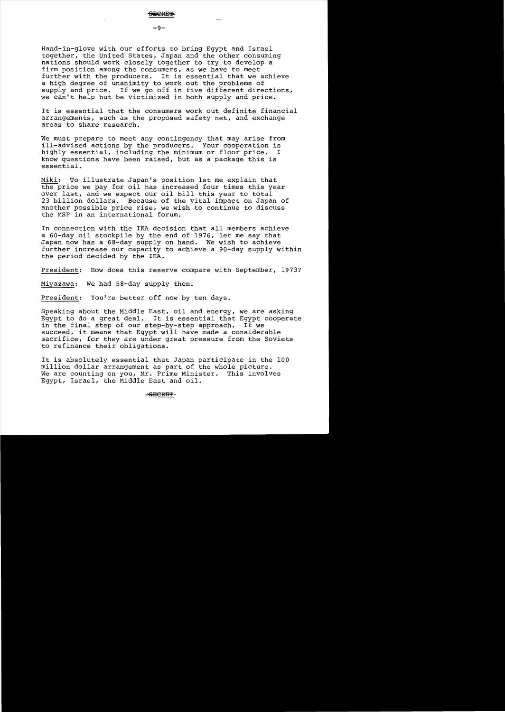Hand-in-glove with our efforts to bring Egypt and Israel together, the United States, Japan and the other consuming nations should work closely together to try to develop a firm position among the consumers, as we have to meet further with the producers. It is essential that we achieve a high degree of unanimity to work out the problems of supply and price. If we go off in five different directions, we can't help but be victimized in both supply and price.

It is essential that the consumers work out definite financial arrangements, such as the proposed safety net, and exchange areas to share research.

We must prepare to meet any contingency that may arise from ill-advised actions by the producers. Your cooperation is highly essential, including the minimum or floor price. I know questions have been raised, but as a package this is essential.

Miki: To illustrate Japan's position let me explain that the price we pay for oil has increased four times this year over last, and we expect our oil bill this year to total 23 billion dollars. Because of the vital impact on Japan of another possible price rise, we wish to continue to discuss the MSP in an international forum.

In connection with the lEA decision that all members achieve a 60-day oil stockpile by the end of 1976, let me say that Japan now has a 68-day supply on hand. We wish to achieve further increase our capacity to achieve a 90-day supply within the period decided by the lEA.

President: How does this reserve compare with September, 1973?

Miyazawa: We had 58-day supply then.

President: You're better off now by ten days.

Speaking about the Middle East, oil and energy, we are asking Egypt to do a great deal. It is essential that Egypt cooperate<br>in the final step of our step-by-step approach. If we in the final step of our step-by-step approach. succeed, it means that Egypt will have made a considerable sacrifice, for they are under great pressure from the Soviets to refinance their obligations.

It is absolutely essential that Japan participate in the 100 million dollar arrangement as part of the whole picture. We are counting on you, Mr. Prime Minister. This involves Egypt, Israel, the Middle East and oil.

#### -SBCRBT-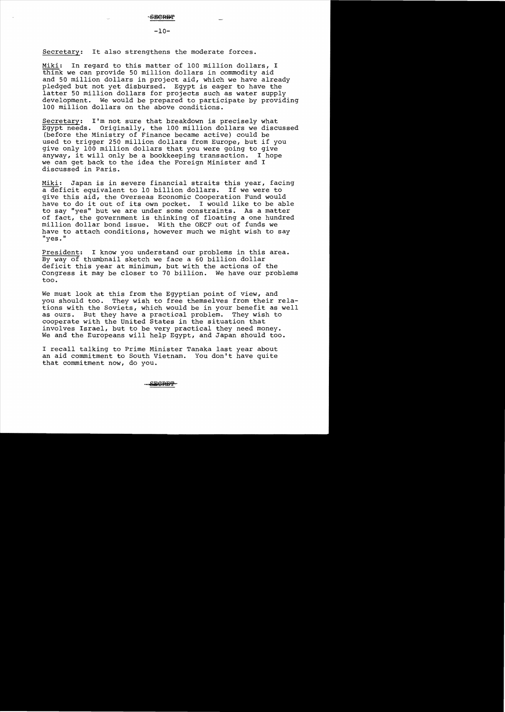Secretary: It also strengthens the moderate forces.

Miki: In regard to this matter of 100 million dollars, I think we can provide 50 million dollars in commodity aid and 50 million dollars in project aid, which we have already pledged but not yet disbursed. Egypt is eager to have the latter 50 million dollars for projects such as water supply development. We would be prepared to participate by providing 100 million dollars on the above conditions.

Secretary: I'm not sure that breakdown is precisely what Egypt needs. Originally, the 100 million dollars we discussed (before the Ministry of Finance became active) could be used to trigger 250 million dollars from Europe, but if you give only 100 million dollars that you were going to give anyway, it will only be a bookkeeping transaction. I hope we can get back to the idea the Foreign Minister and I discussed in Paris.

Miki: Japan is in severe financial straits this year, facing a deficit equivalent to 10 billion dollars. If we were to give this aid, the Overseas Economic Cooperation Fund would have to do it out of its own pocket. I would like to be able to say "yes" but we are under some constraints. As a matter of fact, the government is thinking of floating a one hundred million dollar bond issue. With the OECF out of funds we have to attach conditions, however much we might wish to say "yes ."

President: I know you understand our problems in this area. By way of thumbnail sketch we face a 60 billion dollar deficit this year at minimum, but with the actions of the Congress it may be closer to 70 billion. We have our problems too.

We must look at this from the Egyptian point of view, and you should too. They wish to free themselves from their relations with the Soviets, which would be in your benefit as well<br>as ours. But they have a practical problem. They wish to as ours. But they have a practical problem. cooperate with the United States in the situation that involves Israel, but to be very practical they need money. We and the Europeans will help Egypt, and Japan should too.

I recall talking to Prime Minister Tanaka last year about an aid commitment to South Vietnam. You don't have quite that commitment now, do you.

**SEGRET**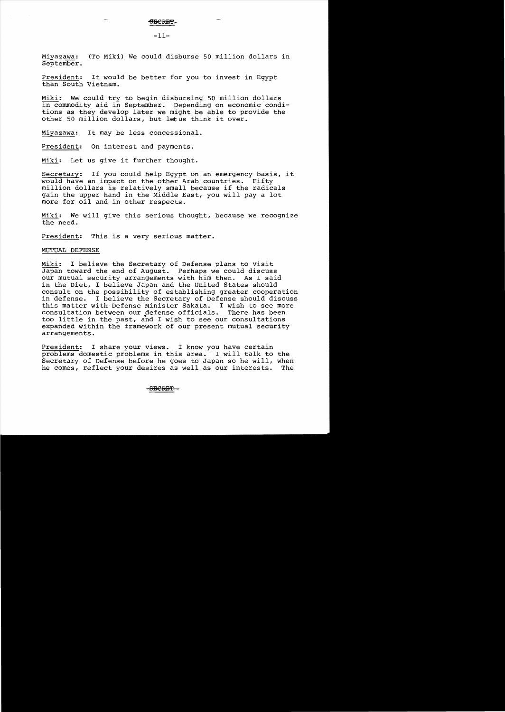Miyazawa: (To Miki) We could disburse 50 million dollars in September.

President: It would be better for you to invest in Egypt than South Vietnam.

Miki: We could try to begin disbursing 50 million dollars in commodity aid in September. Depending on economic conditions as they develop later we might be able to provide the other 50 million dollars, but letus think it over.

Miyazawa: It may be less concessional.

President: On interest and payments.

Miki: Let us give it further thought.

Secretary: If you could help Egypt on an emergency basis, it would have an impact on the other Arab countries. Fifty million dollars is relatively small because if the radicals gain the upper hand in the Middle East, you will pay a lot more for oil and in other respects.

Miki: We will give this serious thought, because we recognize the need.

President: This is a very serious matter.

#### MUTUAL DEFENSE

Miki: I believe the Secretary of Defense plans to visit Japan toward the end of August. Perhaps we could discuss our mutual security arrangements with him then. As I said in the Diet, I believe Japan and the United States should consult on the possibility of establishing greater cooperation in defense. I believe the Secretary of Defense should discuss this matter with Defense Minister Sakata. I wish to see more consultation between our defense officials. There has been too little in the past, and I wish to see our consultations expanded within the framework of our present mutual security arrangements.

President: I share your views. I know you have certain problems domestic problems in this area. I will talk to the Secretary of Defense before he goes to Japan so he will, when<br>he comes, reflect your desires as well as our interests. The he comes, reflect your desires as well as our interests.

-SECRET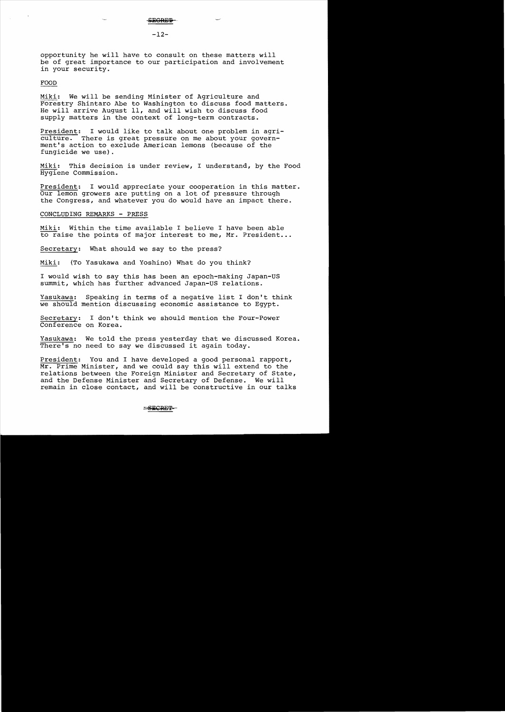opportunity he will have to consult on these matters will be of great importance to our participation and involvement in your security.

#### FOOD

Miki: We will be sending Minister of Agriculture and Forestry Shintaro Abe to Washington to discuss food matters. He will arrive August 11, and will wish to discuss food supply matters in the context of long-term contracts.

President: I would like to talk about one problem in agriculture. There is great pressure on me about your government's action to exclude American lemons (because of the fungicide we use).

Miki: This decision is under review, I understand, by the Food Hygiene Commission.

President: I would appreciate your cooperation in this matter. Our lemon growers are putting on a lot of pressure through the Congress, and whatever you do would have an impact there.

CONCLUDING REMARKS - PRESS

Miki: Within the time available I believe I have been able to raise the points of major interest to me, Mr. President...

Secretary: What should we say to the press?

Miki: (To Yasukawa and Yoshino) What do you think?

I would wish to say this has been an epoch-making Japan-US summit, which has further advanced Japan-US relations.

Yasukawa: Speaking in terms of a negative list I don't think we should mention discussing economic assistance to Egypt.

Secretary: I don't think we should mention the Four-Power Conference on Korea.

Yasukawa: We told the press yesterday that we discussed Korea. There's no need to say we discussed it again today.

President: You and I have developed a good personal rapport, Mr. Prime Minister, and we could say this will extend to the relations between the Foreign Minister and Secretary of State, and the Defense Minister and Secretary of Defense. We will remain in close contact, and will be constructive in our talks

 $SECDFP$